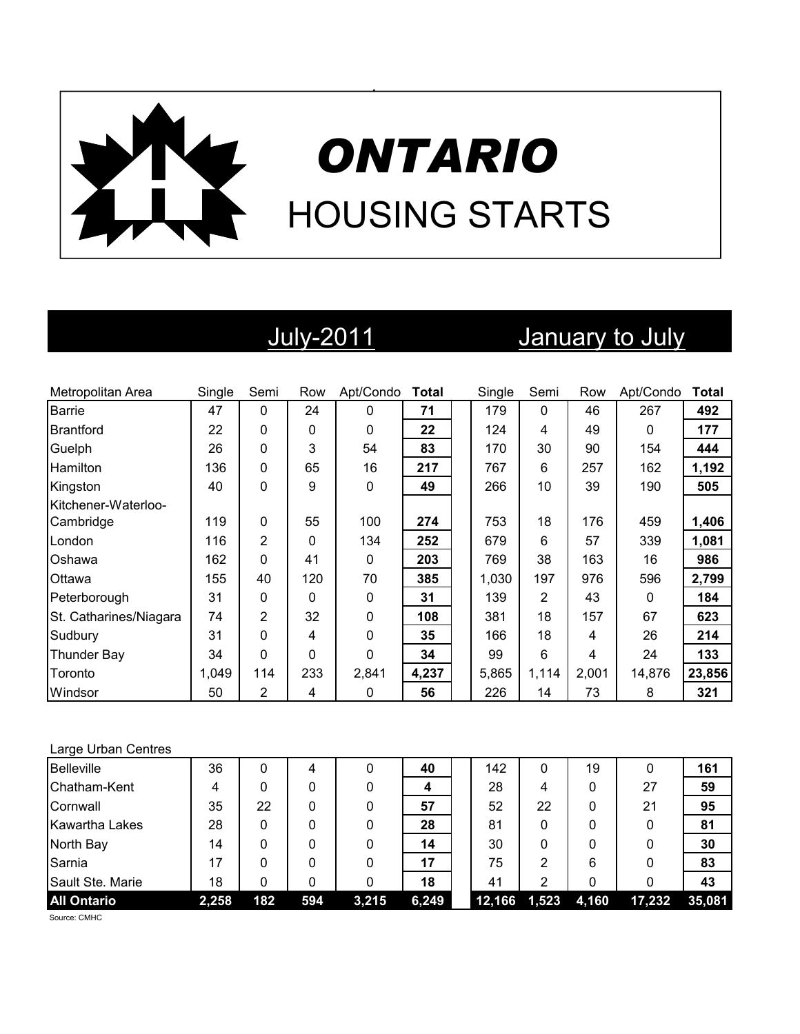

## July-2011 January to July

| Metropolitan Area      | Single | Semi           | Row | Apt/Condo   | Total | Single | Semi        | Row   | Apt/Condo | <b>Total</b> |
|------------------------|--------|----------------|-----|-------------|-------|--------|-------------|-------|-----------|--------------|
| <b>Barrie</b>          | 47     | $\Omega$       | 24  | $\mathbf 0$ | 71    | 179    | $\mathbf 0$ | 46    | 267       | 492          |
| <b>Brantford</b>       | 22     | 0              | 0   | $\Omega$    | 22    | 124    | 4           | 49    | $\Omega$  | 177          |
| Guelph                 | 26     | 0              | 3   | 54          | 83    | 170    | 30          | 90    | 154       | 444          |
| <b>Hamilton</b>        | 136    | 0              | 65  | 16          | 217   | 767    | 6           | 257   | 162       | 1,192        |
| Kingston               | 40     | 0              | 9   | 0           | 49    | 266    | 10          | 39    | 190       | 505          |
| Kitchener-Waterloo-    |        |                |     |             |       |        |             |       |           |              |
| Cambridge              | 119    | 0              | 55  | 100         | 274   | 753    | 18          | 176   | 459       | 1,406        |
| London                 | 116    | 2              | 0   | 134         | 252   | 679    | 6           | 57    | 339       | 1,081        |
| Oshawa                 | 162    | $\Omega$       | 41  | 0           | 203   | 769    | 38          | 163   | 16        | 986          |
| Ottawa                 | 155    | 40             | 120 | 70          | 385   | 1,030  | 197         | 976   | 596       | 2,799        |
| Peterborough           | 31     | 0              | 0   | 0           | 31    | 139    | 2           | 43    | 0         | 184          |
| St. Catharines/Niagara | 74     | $\overline{2}$ | 32  | 0           | 108   | 381    | 18          | 157   | 67        | 623          |
| Sudbury                | 31     | $\Omega$       | 4   | $\Omega$    | 35    | 166    | 18          | 4     | 26        | 214          |
| Thunder Bay            | 34     | 0              | 0   | 0           | 34    | 99     | 6           | 4     | 24        | 133          |
| Toronto                | 1,049  | 114            | 233 | 2,841       | 4,237 | 5,865  | 1,114       | 2,001 | 14,876    | 23,856       |
| Windsor                | 50     | $\overline{2}$ | 4   | 0           | 56    | 226    | 14          | 73    | 8         | 321          |

### Large Urban Centres

| <b>Belleville</b>  | 36    |     | 4   |       | 40    | 142    | 0     | 19    |        | 161    |
|--------------------|-------|-----|-----|-------|-------|--------|-------|-------|--------|--------|
| Chatham-Kent       | 4     |     |     |       | 4     | 28     | 4     | 0     | 27     | 59     |
| Cornwall           | 35    | 22  |     |       | 57    | 52     | 22    | 0     | 21     | 95     |
| Kawartha Lakes     | 28    | 0   |     |       | 28    | 81     | 0     |       | 0      | 81     |
| North Bay          | 14    | 0   |     |       | 14    | 30     | 0     | 0     |        | 30     |
| Sarnia             | 17    | ი   |     |       | 17    | 75     | 2     | 6     | 0      | 83     |
| Sault Ste. Marie   | 18    | n   |     |       | 18    | 41     | 2     |       |        | 43     |
| <b>All Ontario</b> | 2,258 | 182 | 594 | 3,215 | 6,249 | 12,166 | 1,523 | 4,160 | 17,232 | 35,081 |

Source: CMHC